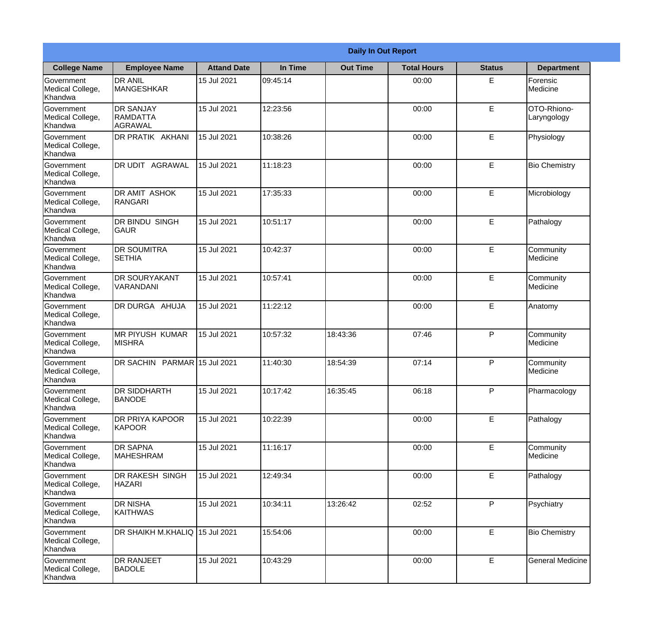|                                                  |                                                | <b>Daily In Out Report</b> |          |                 |                    |               |                            |  |  |
|--------------------------------------------------|------------------------------------------------|----------------------------|----------|-----------------|--------------------|---------------|----------------------------|--|--|
| <b>College Name</b>                              | <b>Employee Name</b>                           | <b>Attand Date</b>         | In Time  | <b>Out Time</b> | <b>Total Hours</b> | <b>Status</b> | <b>Department</b>          |  |  |
| Government<br>Medical College,<br>Khandwa        | <b>DR ANIL</b><br><b>MANGESHKAR</b>            | 15 Jul 2021                | 09:45:14 |                 | 00:00              | E             | Forensic<br>Medicine       |  |  |
| Government<br>Medical College,<br>Khandwa        | <b>DR SANJAY</b><br><b>RAMDATTA</b><br>AGRAWAL | 15 Jul 2021                | 12:23:56 |                 | 00:00              | E             | OTO-Rhiono-<br>Laryngology |  |  |
| <b>Government</b><br>Medical College,<br>Khandwa | DR PRATIK AKHANI                               | 15 Jul 2021                | 10:38:26 |                 | 00:00              | E             | Physiology                 |  |  |
| Government<br>Medical College,<br>Khandwa        | <b>DR UDIT AGRAWAL</b>                         | 15 Jul 2021                | 11:18:23 |                 | 00:00              | E             | <b>Bio Chemistry</b>       |  |  |
| Government<br>Medical College,<br>Khandwa        | <b>IDR AMIT ASHOK</b><br>RANGARI               | 15 Jul 2021                | 17:35:33 |                 | 00:00              | E             | Microbiology               |  |  |
| Government<br>Medical College,<br>Khandwa        | DR BINDU SINGH<br>GAUR                         | 15 Jul 2021                | 10:51:17 |                 | 00:00              | E             | Pathalogy                  |  |  |
| Government<br>Medical College,<br>Khandwa        | <b>DR SOUMITRA</b><br><b>SETHIA</b>            | 15 Jul 2021                | 10:42:37 |                 | 00:00              | E             | Community<br>Medicine      |  |  |
| <b>Government</b><br>Medical College,<br>Khandwa | <b>DR SOURYAKANT</b><br>VARANDANI              | 15 Jul 2021                | 10:57:41 |                 | 00:00              | E             | Community<br>Medicine      |  |  |
| Government<br>Medical College,<br>Khandwa        | <b>DR DURGA AHUJA</b>                          | 15 Jul 2021                | 11:22:12 |                 | 00:00              | E             | Anatomy                    |  |  |
| Government<br>Medical College,<br>Khandwa        | <b>MR PIYUSH KUMAR</b><br><b>MISHRA</b>        | 15 Jul 2021                | 10:57:32 | 18:43:36        | 07:46              | P             | Community<br>Medicine      |  |  |
| Government<br>Medical College,<br>Khandwa        | DR SACHIN PARMAR 15 Jul 2021                   |                            | 11:40:30 | 18:54:39        | 07:14              | $\mathsf{P}$  | Community<br>Medicine      |  |  |
| Government<br>Medical College,<br>Khandwa        | <b>DR SIDDHARTH</b><br><b>BANODE</b>           | 15 Jul 2021                | 10:17:42 | 16:35:45        | 06:18              | P             | Pharmacology               |  |  |
| Government<br>Medical College,<br>Khandwa        | DR PRIYA KAPOOR<br>KAPOOR                      | 15 Jul 2021                | 10:22:39 |                 | 00:00              | E             | Pathalogy                  |  |  |
| Government<br>Medical College,<br>Khandwa        | <b>DR SAPNA</b><br><b>MAHESHRAM</b>            | 15 Jul 2021                | 11:16:17 |                 | 00:00              | E             | Community<br>Medicine      |  |  |
| Government<br>Medical College,<br>Khandwa        | DR RAKESH SINGH<br><b>HAZARI</b>               | 15 Jul 2021                | 12:49:34 |                 | 00:00              | E             | Pathalogy                  |  |  |
| Government<br>Medical College,<br>Khandwa        | <b>DR NISHA</b><br><b>KAITHWAS</b>             | 15 Jul 2021                | 10:34:11 | 13:26:42        | 02:52              | P             | Psychiatry                 |  |  |
| Government<br>Medical College,<br>Khandwa        | DR SHAIKH M.KHALIQ 15 Jul 2021                 |                            | 15:54:06 |                 | 00:00              | E             | <b>Bio Chemistry</b>       |  |  |
| Government<br>Medical College,<br>Khandwa        | <b>DR RANJEET</b><br><b>BADOLE</b>             | 15 Jul 2021                | 10:43:29 |                 | 00:00              | E             | <b>General Medicine</b>    |  |  |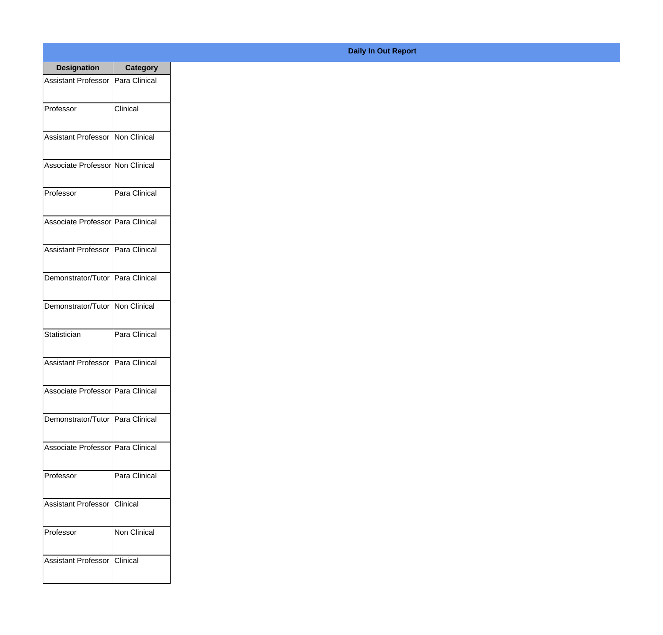| <b>Designation</b>                  | <b>Category</b>     |
|-------------------------------------|---------------------|
| <b>Assistant Professor</b>          | Para Clinical       |
| Professor                           | Clinical            |
| Assistant Professor   Non Clinical  |                     |
| Associate Professor Non Clinical    |                     |
| Professor                           | Para Clinical       |
| Associate Professor Para Clinical   |                     |
| Assistant Professor   Para Clinical |                     |
| Demonstrator/Tutor   Para Clinical  |                     |
| Demonstrator/Tutor   Non Clinical   |                     |
| Statistician                        | Para Clinical       |
| <b>Assistant Professor</b>          | Para Clinical       |
| Associate Professor Para Clinical   |                     |
| Demonstrator/Tutor   Para Clinical  |                     |
| Associate Professor   Para Clinical |                     |
| Professor                           | Para Clinical       |
| <b>Assistant Professor</b>          | Clinical            |
| Professor                           | <b>Non Clinical</b> |
| <b>Assistant Professor</b>          | <b>Clinical</b>     |

## **Daily In Out Report**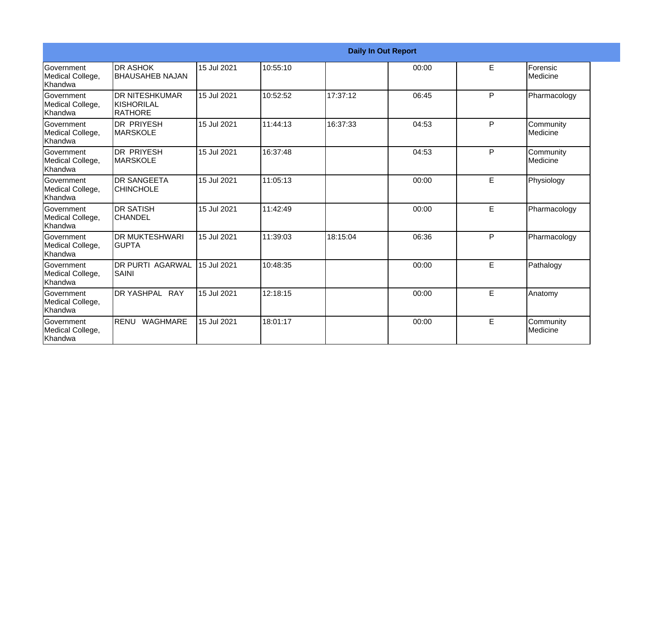|                                                  |                                                              |             |          |          | <b>Daily In Out Report</b> |    |                                |
|--------------------------------------------------|--------------------------------------------------------------|-------------|----------|----------|----------------------------|----|--------------------------------|
| Government<br>Medical College,<br>Khandwa        | <b>DR ASHOK</b><br><b>BHAUSAHEB NAJAN</b>                    | 15 Jul 2021 | 10:55:10 |          | 00:00                      | E  | Forensic<br><b>I</b> Medicine  |
| <b>Sovernment</b><br>Medical College,<br>Khandwa | <b>DR NITESHKUMAR</b><br><b>KISHORILAL</b><br><b>RATHORE</b> | 15 Jul 2021 | 10:52:52 | 17:37:12 | 06:45                      | P  | Pharmacology                   |
| Government<br>Medical College,<br>Khandwa        | <b>DR PRIYESH</b><br>IMARSKOLE                               | 15 Jul 2021 | 11:44:13 | 16:37:33 | 04:53                      | P  | Community<br><b>I</b> Medicine |
| Government<br>Medical College,<br>Khandwa        | <b>DR PRIYESH</b><br><b>MARSKOLE</b>                         | 15 Jul 2021 | 16:37:48 |          | 04:53                      | P  | Community<br><b>I</b> Medicine |
| Government<br>Medical College,<br>Khandwa        | <b>DR SANGEETA</b><br><b>CHINCHOLE</b>                       | 15 Jul 2021 | 11:05:13 |          | 00:00                      | E  | Physiology                     |
| Government<br>Medical College,<br>Khandwa        | <b>DR SATISH</b><br><b>CHANDEL</b>                           | 15 Jul 2021 | 11:42:49 |          | 00:00                      | E. | Pharmacology                   |
| Government<br>Medical College,<br>Khandwa        | <b>DR MUKTESHWARI</b><br><b>GUPTA</b>                        | 15 Jul 2021 | 11:39:03 | 18:15:04 | 06:36                      | P  | Pharmacology                   |
| Government<br>Medical College,<br>Khandwa        | <b>DR PURTI AGARWAL</b><br>SAINI                             | 15 Jul 2021 | 10:48:35 |          | 00:00                      | E  | Pathalogy                      |
| Government<br>Medical College,<br>Khandwa        | DR YASHPAL RAY                                               | 15 Jul 2021 | 12:18:15 |          | 00:00                      | E  | Anatomy                        |
| Government<br>Medical College,<br>Khandwa        | RENU WAGHMARE                                                | 15 Jul 2021 | 18:01:17 |          | 00:00                      | E  | Community<br>Medicine          |